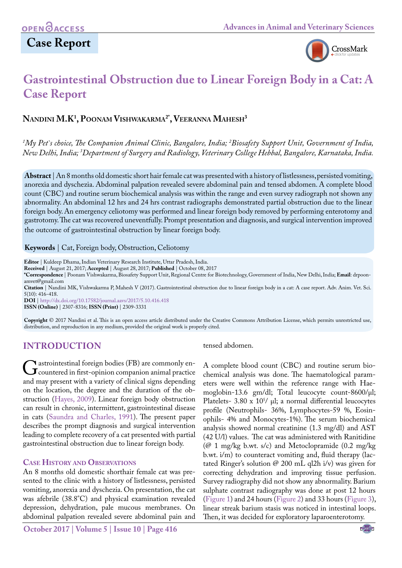# **Case Report**



# **Gastrointestinal Obstruction due to Linear Foreign Body in a Cat: A Case Report**

# **Nandini M.K1 , Poonam Vishwakarma2\*, Veeranna Mahesh3**

*1 My Pet`s choice, The Companion Animal Clinic, Bangalore, India; 2 Biosafety Support Unit, Government of India, New Delhi, India; 3 Department of Surgery and Radiology, Veterinary College Hebbal, Bangalore, Karnataka, India.*

**Abstract** | An 8 months old domestic short hair female cat was presented with a history of listlessness, persisted vomiting, anorexia and dyschezia. Abdominal palpation revealed severe abdominal pain and tensed abdomen. A complete blood count (CBC) and routine serum biochemical analysis was within the range and even survey radiograph not shown any abnormality. An abdominal 12 hrs and 24 hrs contrast radiographs demonstrated partial obstruction due to the linear foreign body. An emergency celiotomy was performed and linear foreign body removed by performing enterotomy and gastrotomy. The cat was recovered uneventfully. Prompt presentation and diagnosis, and surgical intervention improved the outcome of gastrointestinal obstruction by linear foreign body.

#### **Keywords** | Cat, Foreign body, Obstruction, Celiotomy

**Editor** | Kuldeep Dhama, Indian Veterinary Research Institute, Uttar Pradesh, India.

**Received** | August 21, 2017; **Accepted** | August 28, 2017; **Published** | October 08, 2017

**\*Correspondence** | Poonam Vishwakarma, Biosafety Support Unit, Regional Centre for Biotechnology, Government of India, New Delhi, India; **Email**: drpoonamvet@gmail.com

**Citation** | Nandini MK, Vishwakarma P, Mahesh V (2017). Gastrointestinal obstruction due to linear foreign body in a cat: A case report. Adv. Anim. Vet. Sci. 5(10): 416-418.

**DOI** | <http://dx.doi.org/10.17582/journal.aavs/2017/5.10.416.418>

**ISSN (Online)** | 2307-8316; **ISSN (Print)** | 2309-3331

**Copyright** © 2017 Nandini et al. This is an open access article distributed under the Creative Commons Attribution License, which permits unrestricted use, distribution, and reproduction in any medium, provided the original work is properly cited.

## **Introduction**

Gastrointestinal foreign bodies (FB) are commonly encountered in first-opinion companion animal practice<br>and may present with a variety of clinical signs depending and may present with a variety of clinical signs depending on the location, the degree and the duration of the obstruction ([Hayes, 2009\)](#page-2-0). Linear foreign body obstruction can result in chronic, intermittent, gastrointestinal disease in cats [\(Saundra and Charles, 1991](#page-2-1)). The present paper describes the prompt diagnosis and surgical intervention leading to complete recovery of a cat presented with partial gastrointestinal obstruction due to linear foreign body.

### **Case History and Observations**

An 8 months old domestic shorthair female cat was presented to the clinic with a history of listlessness, persisted vomiting, anorexia and dyschezia. On presentation, the cat was afebrile (38.8°C) and physical examination revealed depression, dehydration, pale mucous membranes. On abdominal palpation revealed severe abdominal pain and

### tensed abdomen.

A complete blood count (CBC) and routine serum biochemical analysis was done. The haematological parameters were well within the reference range with Haemoglobin-13.6 gm/dl; Total leucocyte count-8600/µl; Platelets-  $3.80 \times 10^{5}$ /  $\mu$ l; a normal differential leucocytes profile (Neutrophils- 36%, Lymphocytes-59 %, Eosinophils- 4% and Monocytes-1%). The serum biochemical analysis showed normal creatinine (1.3 mg/dl) and AST (42 U/l) values. The cat was administered with Ranitidine (@ 1 mg/kg b.wt. s/c) and Metoclopramide (0.2 mg/kg b.wt. i/m) to counteract vomiting and, fluid therapy (lactated Ringer's solution @ 200 mL ql2h i/v) was given for correcting dehydration and improving tissue perfusion. Survey radiography did not show any abnormality. Barium sulphate contrast radiography was done at post 12 hours [\(Figure 1](#page-1-0)) and 24 hours [\(Figure 2\)](#page-1-1) and 33 hours ([Figure 3\)](#page-1-2), linear streak barium stasis was noticed in intestinal loops. Then, it was decided for exploratory laparoenterotomy.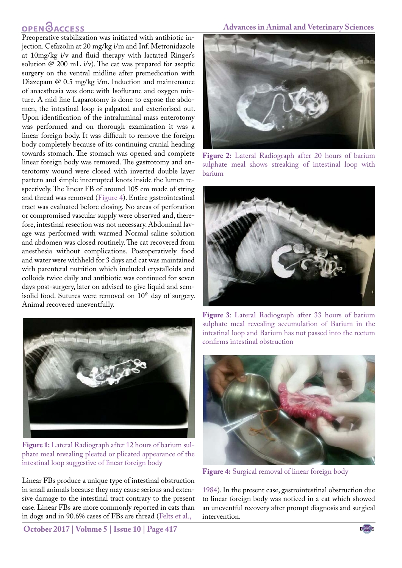# **OPEN GACCESS**

Preoperative stabilization was initiated with antibiotic injection. Cefazolin at 20 mg/kg i/m and Inf. Metronidazole at 10mg/kg i/v and fluid therapy with lactated Ringer's solution  $\varnothing$  200 mL i/v). The cat was prepared for aseptic surgery on the ventral midline after premedication with Diazepam  $\omega$  0.5 mg/kg i/m. Induction and maintenance of anaesthesia was done with Isoflurane and oxygen mixture. A mid line Laparotomy is done to expose the abdomen, the intestinal loop is palpated and exteriorised out. Upon identification of the intraluminal mass enterotomy was performed and on thorough examination it was a linear foreign body. It was difficult to remove the foreign body completely because of its continuing cranial heading towards stomach. The stomach was opened and complete linear foreign body was removed. The gastrotomy and enterotomy wound were closed with inverted double layer pattern and simple interrupted knots inside the lumen respectively. The linear FB of around 105 cm made of string and thread was removed ([Figure 4](#page-1-3)). Entire gastrointestinal tract was evaluated before closing. No areas of perforation or compromised vascular supply were observed and, therefore, intestinal resection was not necessary. Abdominal lavage was performed with warmed Normal saline solution and abdomen was closed routinely. The cat recovered from anesthesia without complications. Postoperatively food and water were withheld for 3 days and cat was maintained with parenteral nutrition which included crystalloids and colloids twice daily and antibiotic was continued for seven days post-surgery, later on advised to give liquid and semisolid food. Sutures were removed on  $10<sup>th</sup>$  day of surgery. Animal recovered uneventfully.



**Figure 1:** Lateral Radiograph after 12 hours of barium sulphate meal revealing pleated or plicated appearance of the intestinal loop suggestive of linear foreign body

<span id="page-1-0"></span>Linear FBs produce a unique type of intestinal obstruction in small animals because they may cause serious and extensive damage to the intestinal tract contrary to the present case. Linear FBs are more commonly reported in cats than in dogs and in 90.6% cases of FBs are thread ([Felts et al.,](#page-2-2) 

**October 2017 | Volume 5 | Issue 10 | Page 417**

#### **Advances in Animal and Veterinary Sciences**



**Figure 2:** Lateral Radiograph after 20 hours of barium sulphate meal shows streaking of intestinal loop with barium

<span id="page-1-1"></span>

**Figure 3**: Lateral Radiograph after 33 hours of barium sulphate meal revealing accumulation of Barium in the intestinal loop and Barium has not passed into the rectum confirms intestinal obstruction

<span id="page-1-2"></span>

**Figure 4:** Surgical removal of linear foreign body

<span id="page-1-3"></span>[1984\)](#page-2-2). In the present case, gastrointestinal obstruction due to linear foreign body was noticed in a cat which showed an uneventful recovery after prompt diagnosis and surgical intervention.